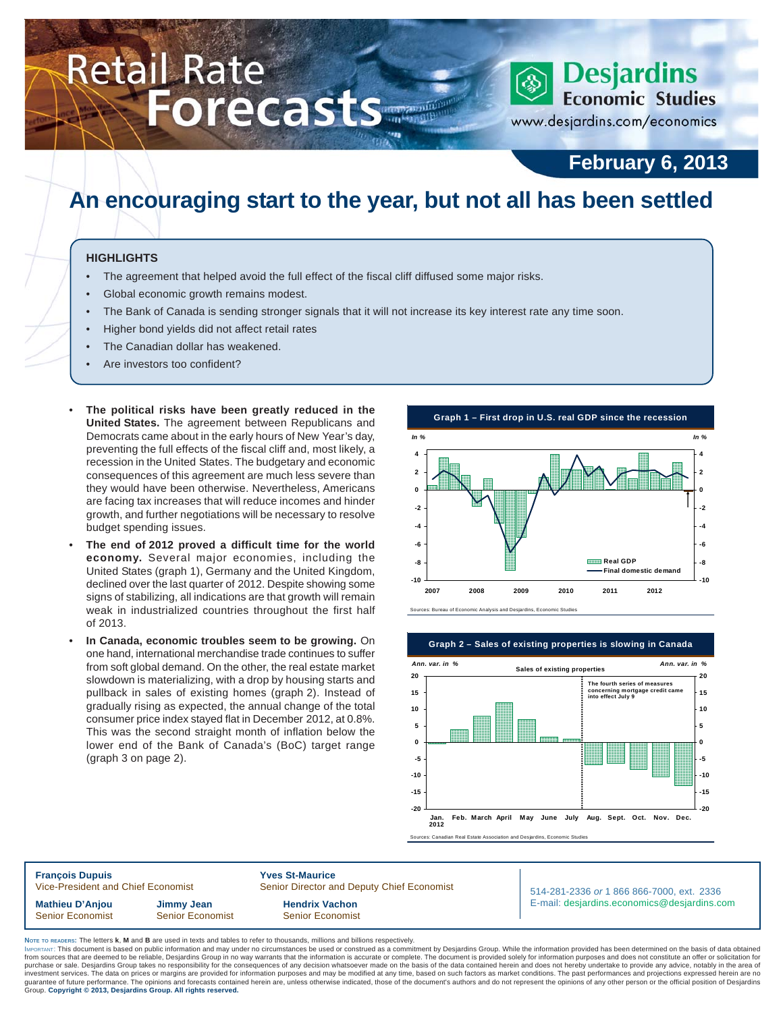# Retail Rate **Exercise Port Cast Strate Retail Rate**

# **February 6, 2013**

www.desjardins.com/economics

# **An encouraging start to the year, but not all has been settled**

### **HIGHLIGHTS**

- The agreement that helped avoid the full effect of the fiscal cliff diffused some major risks.
- Global economic growth remains modest.
- The Bank of Canada is sending stronger signals that it will not increase its key interest rate any time soon.
- Higher bond yields did not affect retail rates
- The Canadian dollar has weakened.
- Are investors too confident?
- **The political risks have been greatly reduced in the United States.** The agreement between Republicans and Democrats came about in the early hours of New Year's day, preventing the full effects of the fiscal cliff and, most likely, a recession in the United States. The budgetary and economic consequences of this agreement are much less severe than they would have been otherwise. Nevertheless, Americans are facing tax increases that will reduce incomes and hinder growth, and further negotiations will be necessary to resolve budget spending issues.
- **The end of 2012 proved a difficult time for the world economy.** Several major economies, including the United States (graph 1), Germany and the United Kingdom, declined over the last quarter of 2012. Despite showing some signs of stabilizing, all indications are that growth will remain weak in industrialized countries throughout the first half of 2013.
- **In Canada, economic troubles seem to be growing.** On one hand, international merchandise trade continues to suffer from soft global demand. On the other, the real estate market slowdown is materializing, with a drop by housing starts and pullback in sales of existing homes (graph 2). Instead of gradually rising as expected, the annual change of the total consumer price index stayed flat in December 2012, at 0.8%. This was the second straight month of inflation below the lower end of the Bank of Canada's (BoC) target range (graph 3 on page 2).

**-10 -8 -6 -4 -2 0 2 4 2007 2008 2009 2010 2011 2012 -10 -8 -6 -4 -2 0 2 4 Real GDP Final domestic demand** Sources: Bureau of Economic Analysis and Desjardins, Economic Studies **Graph 1 – First drop in U.S. real GDP since the recession** *In % In %*



**François Dupuis 1988**<br>Vice-President and Chief Economist 1988 Senior Director and Chief Economist Senior Director and Deputy Chief Economist **Mathieu D'Anjou Jimmy Jean Hendrix Vachon** Senior Economist Senior Economist Senior Senior Economist

514-281-2336 *or* 1 866 866-7000, ext. 2336 E-mail: desjardins.economics@desjardins.com

**NOTE TO READERS:** The letters **k**, **M** and **B** are used in texts and tables to refer to thousands, millions and billions respectively.

purchase or sale. Desjardins Group takes no responsibility for the consequences of any decision whatsoever made on the basis of the data contained herein and does not hereby undertake to provide any advice, notably in the IMPORTANT: This document is based on public information and may under no circumstances be used or construed as a commitment by Desjardins Group. While the information provided has been determined on the basis of data obtai from sources that are deemed to be reliable, Desjardins Group in no way warrants that the information is accurate or complete. The document is provided solely for information purposes and does not constitute an offer or so purchase or sale. Desjardins Group takes no responsibility for the consequences of any decision whatsoever made on the basis of the data contained herein and does not hereby undertake to provide any advice, notably in the Group. **Copyright © 2013, Desjardins Group. All rights reserved.**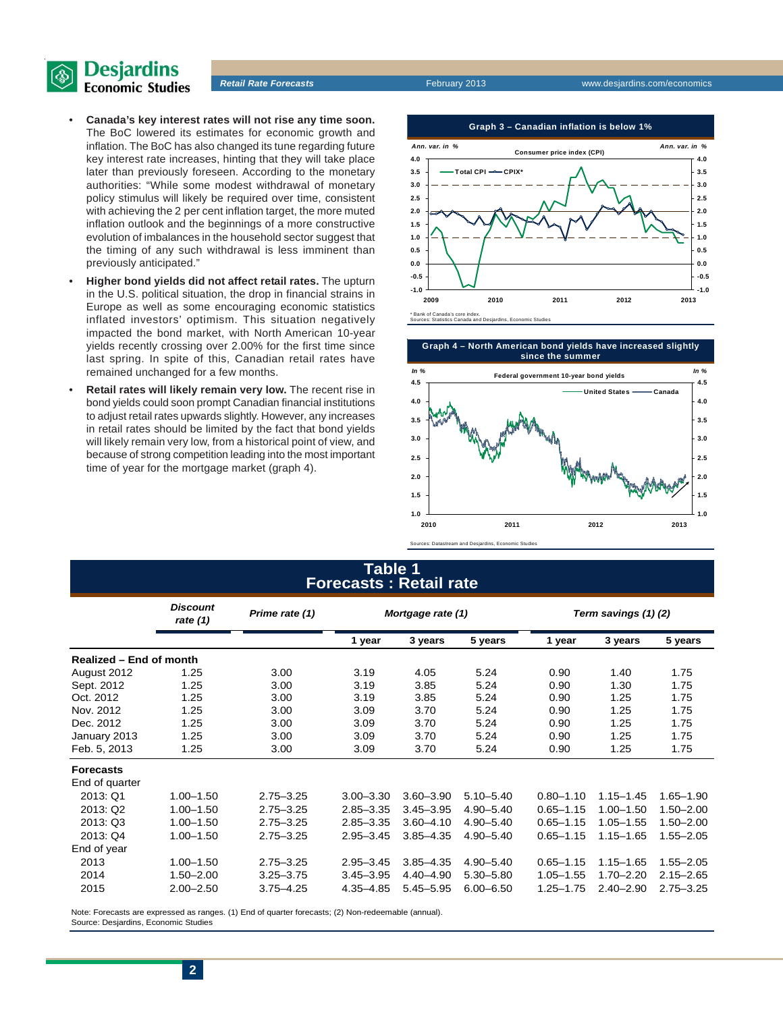

- **Canada's key interest rates will not rise any time soon.** The BoC lowered its estimates for economic growth and inflation. The BoC has also changed its tune regarding future key interest rate increases, hinting that they will take place later than previously foreseen. According to the monetary authorities: "While some modest withdrawal of monetary policy stimulus will likely be required over time, consistent with achieving the 2 per cent inflation target, the more muted inflation outlook and the beginnings of a more constructive evolution of imbalances in the household sector suggest that the timing of any such withdrawal is less imminent than previously anticipated."
- **Higher bond yields did not affect retail rates.** The upturn in the U.S. political situation, the drop in financial strains in Europe as well as some encouraging economic statistics inflated investors' optimism. This situation negatively impacted the bond market, with North American 10-year yields recently crossing over 2.00% for the first time since last spring. In spite of this, Canadian retail rates have remained unchanged for a few months.
- **Retail rates will likely remain very low.** The recent rise in bond yields could soon prompt Canadian financial institutions to adjust retail rates upwards slightly. However, any increases in retail rates should be limited by the fact that bond yields will likely remain very low, from a historical point of view, and because of strong competition leading into the most important time of year for the mortgage market (graph 4).



**Graph 4 – North American bond yields have increased slightly since the summer 4.5 4.0 4.5 United States Canada Federal government 10-year bond yields** *In % In %*



## **Table 1 Forecasts : Retail rate**

Sources: Datastream and Desjardins, Economic Studies

|                         | <b>Discount</b><br>rate $(1)$ | Prime rate (1) | Mortgage rate (1) |               |               | Term savings (1)(2) |               |               |  |
|-------------------------|-------------------------------|----------------|-------------------|---------------|---------------|---------------------|---------------|---------------|--|
|                         |                               |                | 1 year            | 3 years       | 5 years       | 1 year              | 3 years       | 5 years       |  |
| Realized - End of month |                               |                |                   |               |               |                     |               |               |  |
| August 2012             | 1.25                          | 3.00           | 3.19              | 4.05          | 5.24          | 0.90                | 1.40          | 1.75          |  |
| Sept. 2012              | 1.25                          | 3.00           | 3.19              | 3.85          | 5.24          | 0.90                | 1.30          | 1.75          |  |
| Oct. 2012               | 1.25                          | 3.00           | 3.19              | 3.85          | 5.24          | 0.90                | 1.25          | 1.75          |  |
| Nov. 2012               | 1.25                          | 3.00           | 3.09              | 3.70          | 5.24          | 0.90                | 1.25          | 1.75          |  |
| Dec. 2012               | 1.25                          | 3.00           | 3.09              | 3.70          | 5.24          | 0.90                | 1.25          | 1.75          |  |
| January 2013            | 1.25                          | 3.00           | 3.09              | 3.70          | 5.24          | 0.90                | 1.25          | 1.75          |  |
| Feb. 5, 2013            | 1.25                          | 3.00           | 3.09              | 3.70          | 5.24          | 0.90                | 1.25          | 1.75          |  |
| <b>Forecasts</b>        |                               |                |                   |               |               |                     |               |               |  |
| End of quarter          |                               |                |                   |               |               |                     |               |               |  |
| 2013: Q1                | $1.00 - 1.50$                 | $2.75 - 3.25$  | $3.00 - 3.30$     | $3.60 - 3.90$ | $5.10 - 5.40$ | $0.80 - 1.10$       | $1.15 - 1.45$ | $1.65 - 1.90$ |  |
| 2013: Q2                | $1.00 - 1.50$                 | $2.75 - 3.25$  | $2.85 - 3.35$     | $3.45 - 3.95$ | $4.90 - 5.40$ | $0.65 - 1.15$       | $1.00 - 1.50$ | $1.50 - 2.00$ |  |
| 2013: Q3                | $1.00 - 1.50$                 | $2.75 - 3.25$  | $2.85 - 3.35$     | $3.60 - 4.10$ | $4.90 - 5.40$ | $0.65 - 1.15$       | $1.05 - 1.55$ | $1.50 - 2.00$ |  |
| 2013: Q4                | $1.00 - 1.50$                 | $2.75 - 3.25$  | $2.95 - 3.45$     | $3.85 - 4.35$ | $4.90 - 5.40$ | $0.65 - 1.15$       | $1.15 - 1.65$ | $1.55 - 2.05$ |  |
| End of year             |                               |                |                   |               |               |                     |               |               |  |
| 2013                    | $1.00 - 1.50$                 | $2.75 - 3.25$  | $2.95 - 3.45$     | $3.85 - 4.35$ | $4.90 - 5.40$ | $0.65 - 1.15$       | $1.15 - 1.65$ | $1.55 - 2.05$ |  |
| 2014                    | $1.50 - 2.00$                 | $3.25 - 3.75$  | $3.45 - 3.95$     | $4.40 - 4.90$ | $5.30 - 5.80$ | $1.05 - 1.55$       | $1.70 - 2.20$ | $2.15 - 2.65$ |  |
| 2015                    | $2.00 - 2.50$                 | $3.75 - 4.25$  | $4.35 - 4.85$     | $5.45 - 5.95$ | $6.00 - 6.50$ | $1.25 - 1.75$       | $2.40 - 2.90$ | $2.75 - 3.25$ |  |

Note: Forecasts are expressed as ranges. (1) End of quarter forecasts; (2) Non-redeemable (annual). Source: Desjardins, Economic Studies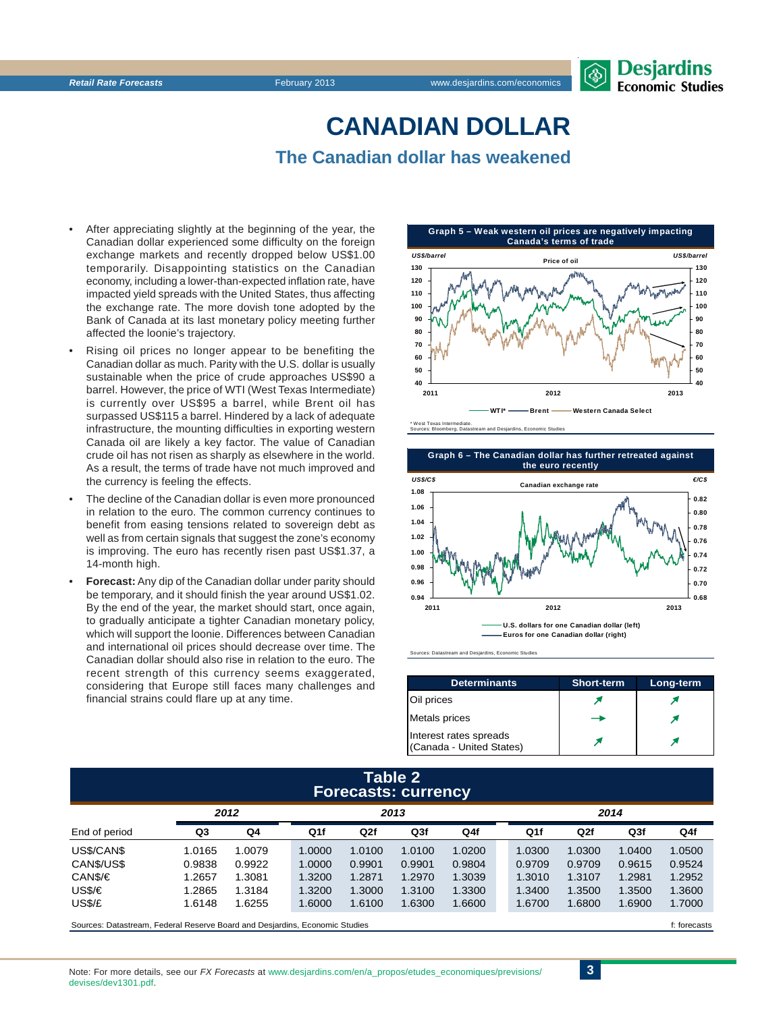# **CANADIAN DOLLAR The Canadian dollar has weakened**

- After appreciating slightly at the beginning of the year, the Canadian dollar experienced some difficulty on the foreign exchange markets and recently dropped below US\$1.00 temporarily. Disappointing statistics on the Canadian economy, including a lower-than-expected inflation rate, have impacted yield spreads with the United States, thus affecting the exchange rate. The more dovish tone adopted by the Bank of Canada at its last monetary policy meeting further affected the loonie's trajectory.
- Rising oil prices no longer appear to be benefiting the Canadian dollar as much. Parity with the U.S. dollar is usually sustainable when the price of crude approaches US\$90 a barrel. However, the price of WTI (West Texas Intermediate) is currently over US\$95 a barrel, while Brent oil has surpassed US\$115 a barrel. Hindered by a lack of adequate infrastructure, the mounting difficulties in exporting western Canada oil are likely a key factor. The value of Canadian crude oil has not risen as sharply as elsewhere in the world. As a result, the terms of trade have not much improved and the currency is feeling the effects.
- The decline of the Canadian dollar is even more pronounced in relation to the euro. The common currency continues to benefit from easing tensions related to sovereign debt as well as from certain signals that suggest the zone's economy is improving. The euro has recently risen past US\$1.37, a 14-month high.
- **Forecast:** Any dip of the Canadian dollar under parity should be temporary, and it should finish the year around US\$1.02. By the end of the year, the market should start, once again, to gradually anticipate a tighter Canadian monetary policy. which will support the loonie. Differences between Canadian and international oil prices should decrease over time. The Canadian dollar should also rise in relation to the euro. The recent strength of this currency seems exaggerated, considering that Europe still faces many challenges and financial strains could flare up at any time.







Sources: Datastream and Desjardins, Economic Studies

| <b>Determinants</b>                                | <b>Short-term</b> | Long-term |
|----------------------------------------------------|-------------------|-----------|
| Oil prices                                         |                   |           |
| <b>Metals</b> prices                               |                   |           |
| Interest rates spreads<br>(Canada - United States) |                   |           |

## **Table 2 Forecasts: currency**

| 2012                                                                        |        |        | 2013   |        |                 |        | 2014 |        |              |                 |        |
|-----------------------------------------------------------------------------|--------|--------|--------|--------|-----------------|--------|------|--------|--------------|-----------------|--------|
| End of period                                                               | Q3     | Q4     | Q1f    | Q2f    | Q <sub>3f</sub> | Q4f    |      | Q1f    | Q2f          | Q <sub>3f</sub> | Q4f    |
| US\$/CAN\$                                                                  | 1.0165 | 1.0079 | 1.0000 | 1.0100 | 1.0100          | 1.0200 |      | 1.0300 | 1.0300       | 1.0400          | 1.0500 |
| CAN\$/US\$                                                                  | 0.9838 | 0.9922 | 1.0000 | 0.9901 | 0.9901          | 0.9804 |      | 0.9709 | 0.9709       | 0.9615          | 0.9524 |
| CAN\$/€                                                                     | 1.2657 | 1.3081 | 1.3200 | 1.2871 | 1.2970          | 1.3039 |      | 1.3010 | 1.3107       | 1.2981          | 1.2952 |
| USS/E                                                                       | 1.2865 | 1.3184 | 1.3200 | 1.3000 | 1.3100          | 1.3300 |      | 1.3400 | 1.3500       | 1.3500          | 1.3600 |
| US\$/£                                                                      | 1.6148 | 1.6255 | 1.6000 | 1.6100 | 1.6300          | 1.6600 |      | 1.6700 | .6800        | 1.6900          | 1.7000 |
| Sources: Datastream, Federal Reserve Board and Desiardins, Economic Studies |        |        |        |        |                 |        |      |        | f: forecasts |                 |        |

Note: For more details, see our *FX Forecasts* at www.desiardins.com/en/a\_propos/etudes\_economiques/previsions/ devises/dev1301.pdf.

**3**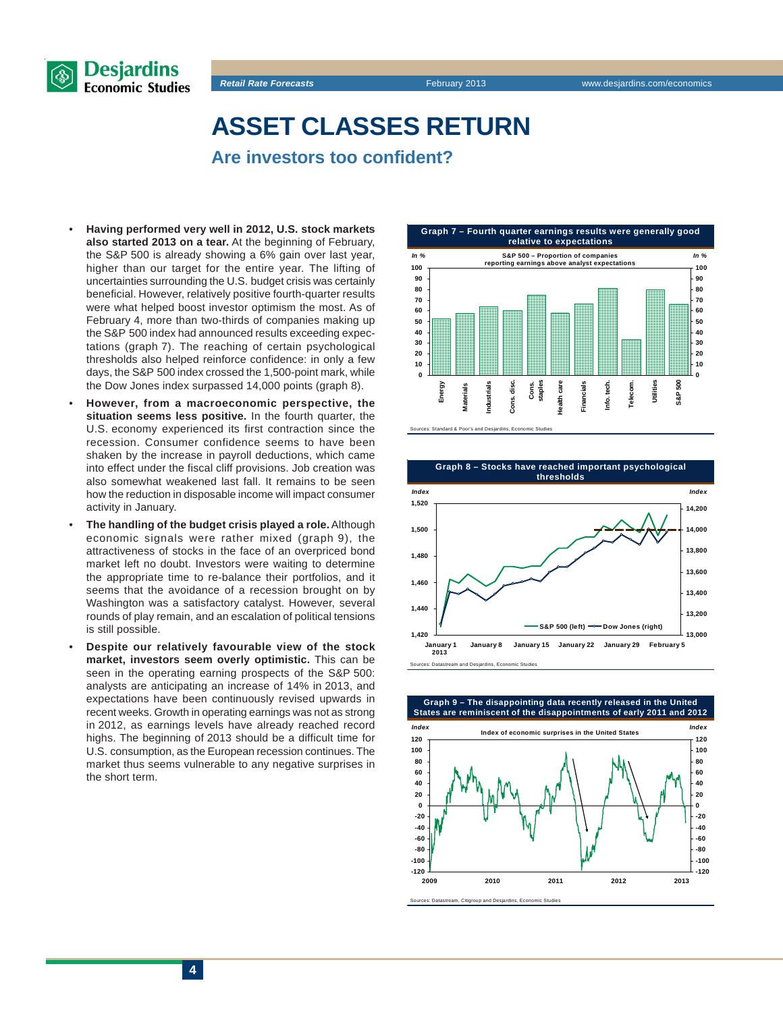

**ASSET CLASSES RETURN**

**Are investors too confident?**

- **Having performed very well in 2012, U.S. stock markets also started 2013 on a tear.** At the beginning of February, the S&P 500 is already showing a 6% gain over last year, higher than our target for the entire year. The lifting of uncertainties surrounding the U.S. budget crisis was certainly beneficial. However, relatively positive fourth-quarter results were what helped boost investor optimism the most. As of February 4, more than two-thirds of companies making up the S&P 500 index had announced results exceeding expectations (graph 7). The reaching of certain psychological thresholds also helped reinforce confidence: in only a few days, the S&P 500 index crossed the 1,500-point mark, while the Dow Jones index surpassed 14,000 points (graph 8).
- **However, from a macroeconomic perspective, the situation seems less positive.** In the fourth quarter, the U.S. economy experienced its first contraction since the recession. Consumer confidence seems to have been shaken by the increase in payroll deductions, which came into effect under the fiscal cliff provisions. Job creation was also somewhat weakened last fall. It remains to be seen how the reduction in disposable income will impact consumer activity in January.
- **The handling of the budget crisis played a role.** Although economic signals were rather mixed (graph 9), the attractiveness of stocks in the face of an overpriced bond market left no doubt. Investors were waiting to determine the appropriate time to re-balance their portfolios, and it seems that the avoidance of a recession brought on by Washington was a satisfactory catalyst. However, several rounds of play remain, and an escalation of political tensions is still possible.
- **Despite our relatively favourable view of the stock market, investors seem overly optimistic.** This can be seen in the operating earning prospects of the S&P 500: analysts are anticipating an increase of 14% in 2013, and expectations have been continuously revised upwards in recent weeks. Growth in operating earnings was not as strong in 2012, as earnings levels have already reached record highs. The beginning of 2013 should be a difficult time for U.S. consumption, as the European recession continues. The market thus seems vulnerable to any negative surprises in the short term.





**Graph 9 – The disappointing data recently released in the United States are reminiscent of the disappointments of early 2011 and 2012 60 80 60 80 100 120**



Sources: Datastream, Citigroup and Desjardins, Economic Studies